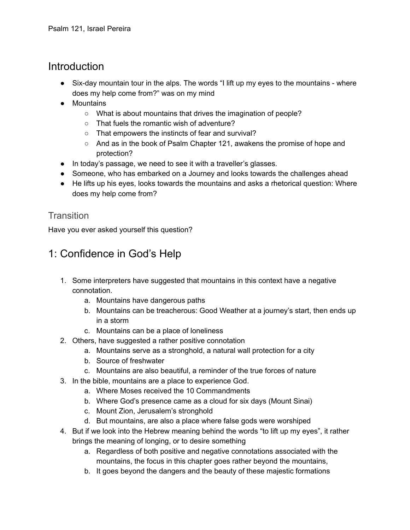### Introduction

- Six-day mountain tour in the alps. The words "I lift up my eyes to the mountains where does my help come from?" was on my mind
- Mountains
	- What is about mountains that drives the imagination of people?
	- That fuels the romantic wish of adventure?
	- That empowers the instincts of fear and survival?
	- And as in the book of Psalm Chapter 121, awakens the promise of hope and protection?
- In today's passage, we need to see it with a traveller's glasses.
- Someone, who has embarked on a Journey and looks towards the challenges ahead
- He lifts up his eyes, looks towards the mountains and asks a rhetorical question: Where does my help come from?

#### **Transition**

Have you ever asked yourself this question?

# 1: Confidence in God's Help

- 1. Some interpreters have suggested that mountains in this context have a negative connotation.
	- a. Mountains have dangerous paths
	- b. Mountains can be treacherous: Good Weather at a journey's start, then ends up in a storm
	- c. Mountains can be a place of loneliness
- 2. Others, have suggested a rather positive connotation
	- a. Mountains serve as a stronghold, a natural wall protection for a city
	- b. Source of freshwater
	- c. Mountains are also beautiful, a reminder of the true forces of nature
- 3. In the bible, mountains are a place to experience God.
	- a. Where Moses received the 10 Commandments
	- b. Where God's presence came as a cloud for six days (Mount Sinai)
	- c. Mount Zion, Jerusalem's stronghold
	- d. But mountains, are also a place where false gods were worshiped
- 4. But if we look into the Hebrew meaning behind the words "to lift up my eyes", it rather brings the meaning of longing, or to desire something
	- a. Regardless of both positive and negative connotations associated with the mountains, the focus in this chapter goes rather beyond the mountains,
	- b. It goes beyond the dangers and the beauty of these majestic formations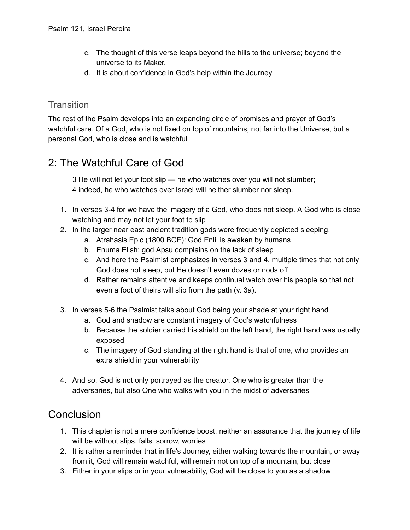- c. The thought of this verse leaps beyond the hills to the universe; beyond the universe to its Maker.
- d. It is about confidence in God's help within the Journey

#### **Transition**

The rest of the Psalm develops into an expanding circle of promises and prayer of God's watchful care. Of a God, who is not fixed on top of mountains, not far into the Universe, but a personal God, who is close and is watchful

## 2: The Watchful Care of God

3 He will not let your foot slip — he who watches over you will not slumber; 4 indeed, he who watches over Israel will neither slumber nor sleep.

- 1. In verses 3-4 for we have the imagery of a God, who does not sleep. A God who is close watching and may not let your foot to slip
- 2. In the larger near east ancient tradition gods were frequently depicted sleeping.
	- a. Atrahasis Epic (1800 BCE): God Enlil is awaken by humans
	- b. Enuma Elish: god Apsu complains on the lack of sleep
	- c. And here the Psalmist emphasizes in verses 3 and 4, multiple times that not only God does not sleep, but He doesn't even dozes or nods off
	- d. Rather remains attentive and keeps continual watch over his people so that not even a foot of theirs will slip from the path (v. 3a).
- 3. In verses 5-6 the Psalmist talks about God being your shade at your right hand
	- a. God and shadow are constant imagery of God's watchfulness
	- b. Because the soldier carried his shield on the left hand, the right hand was usually exposed
	- c. The imagery of God standing at the right hand is that of one, who provides an extra shield in your vulnerability
- 4. And so, God is not only portrayed as the creator, One who is greater than the adversaries, but also One who walks with you in the midst of adversaries

### **Conclusion**

- 1. This chapter is not a mere confidence boost, neither an assurance that the journey of life will be without slips, falls, sorrow, worries
- 2. It is rather a reminder that in life's Journey, either walking towards the mountain, or away from it, God will remain watchful, will remain not on top of a mountain, but close
- 3. Either in your slips or in your vulnerability, God will be close to you as a shadow